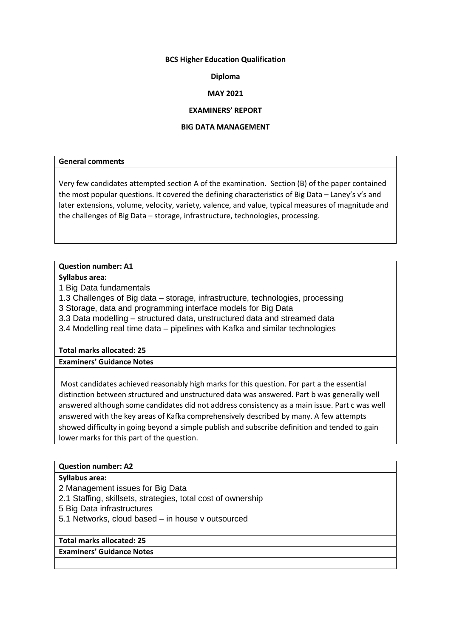## **BCS Higher Education Qualification**

## **Diploma**

# **MAY 2021**

## **EXAMINERS' REPORT**

## **BIG DATA MANAGEMENT**

## **General comments**

Very few candidates attempted section A of the examination. Section (B) of the paper contained the most popular questions. It covered the defining characteristics of Big Data – Laney's v's and later extensions, volume, velocity, variety, valence, and value, typical measures of magnitude and the challenges of Big Data – storage, infrastructure, technologies, processing.

# **Question number: A1**

**Syllabus area:**

1 Big Data fundamentals

1.3 Challenges of Big data – storage, infrastructure, technologies, processing

3 Storage, data and programming interface models for Big Data

3.3 Data modelling – structured data, unstructured data and streamed data

3.4 Modelling real time data – pipelines with Kafka and similar technologies

# **Total marks allocated: 25**

**Examiners' Guidance Notes**

Most candidates achieved reasonably high marks for this question. For part a the essential distinction between structured and unstructured data was answered. Part b was generally well answered although some candidates did not address consistency as a main issue. Part c was well answered with the key areas of Kafka comprehensively described by many. A few attempts showed difficulty in going beyond a simple publish and subscribe definition and tended to gain lower marks for this part of the question.

# **Question number: A2**

## **Syllabus area:**

2 Management issues for Big Data

2.1 Staffing, skillsets, strategies, total cost of ownership

5 Big Data infrastructures

5.1 Networks, cloud based – in house v outsourced

## **Total marks allocated: 25**

**Examiners' Guidance Notes**